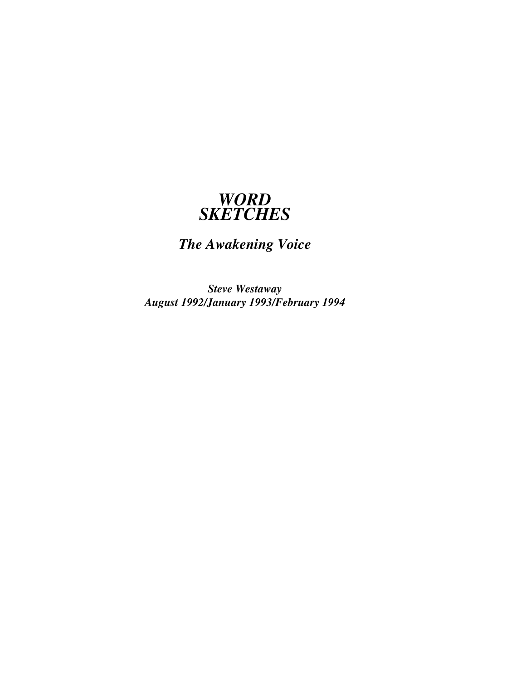## *WORD SKETCHES*

# *The Awakening Voice*

*Steve Westaway August 1992/January 1993/February 1994*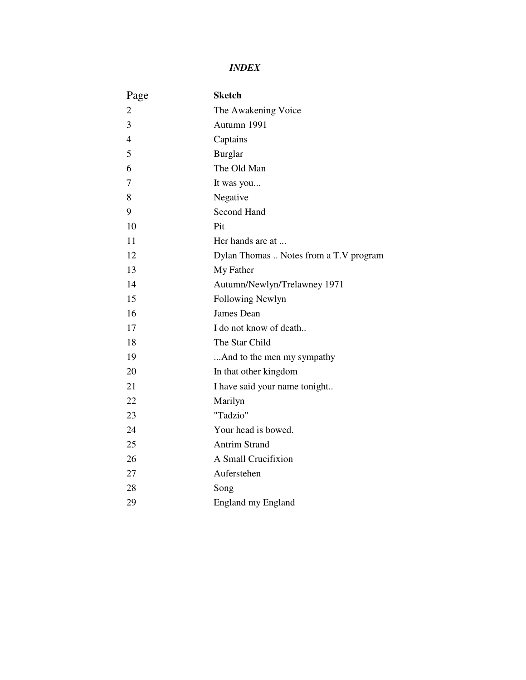## *INDEX*

| Page           | <b>Sketch</b>                          |
|----------------|----------------------------------------|
| $\overline{2}$ | The Awakening Voice                    |
| 3              | Autumn 1991                            |
| $\overline{4}$ | Captains                               |
| 5              | <b>Burglar</b>                         |
| 6              | The Old Man                            |
| 7              | It was you                             |
| 8              | Negative                               |
| 9              | Second Hand                            |
| 10             | Pit                                    |
| 11             | Her hands are at                       |
| 12             | Dylan Thomas  Notes from a T.V program |
| 13             | My Father                              |
| 14             | Autumn/Newlyn/Trelawney 1971           |
| 15             | Following Newlyn                       |
| 16             | James Dean                             |
| 17             | I do not know of death                 |
| 18             | The Star Child                         |
| 19             | And to the men my sympathy             |
| 20             | In that other kingdom                  |
| 21             | I have said your name tonight          |
| 22             | Marilyn                                |
| 23             | "Tadzio"                               |
| 24             | Your head is bowed.                    |
| 25             | <b>Antrim Strand</b>                   |
| 26             | A Small Crucifixion                    |
| 27             | Auferstehen                            |
| 28             | Song                                   |
| 29             | <b>England my England</b>              |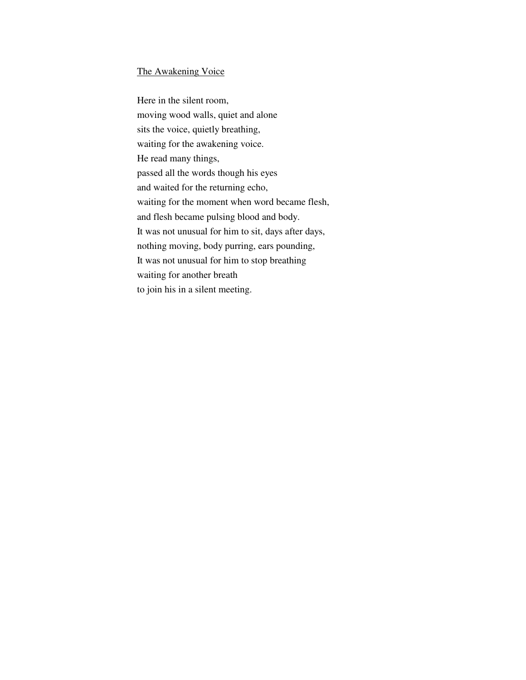#### The Awakening Voice

Here in the silent room, moving wood walls, quiet and alone sits the voice, quietly breathing, waiting for the awakening voice. He read many things, passed all the words though his eyes and waited for the returning echo, waiting for the moment when word became flesh, and flesh became pulsing blood and body. It was not unusual for him to sit, days after days, nothing moving, body purring, ears pounding, It was not unusual for him to stop breathing waiting for another breath to join his in a silent meeting.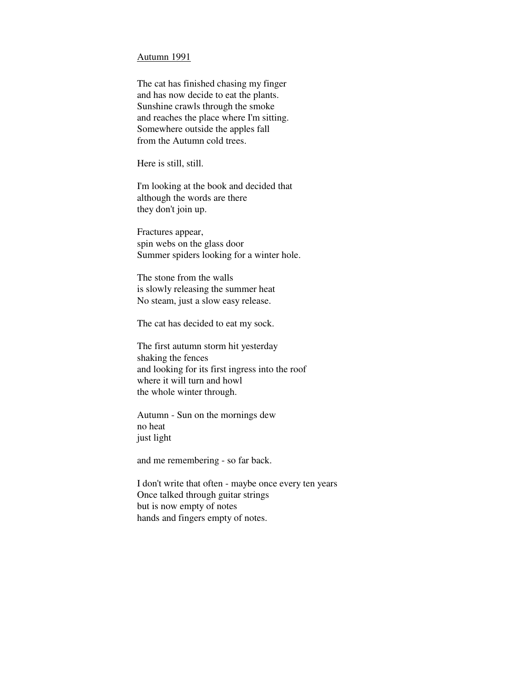#### Autumn 1991

The cat has finished chasing my finger and has now decide to eat the plants. Sunshine crawls through the smoke and reaches the place where I'm sitting. Somewhere outside the apples fall from the Autumn cold trees.

Here is still, still.

I'm looking at the book and decided that although the words are there they don't join up.

Fractures appear, spin webs on the glass door Summer spiders looking for a winter hole.

The stone from the walls is slowly releasing the summer heat No steam, just a slow easy release.

The cat has decided to eat my sock.

The first autumn storm hit yesterday shaking the fences and looking for its first ingress into the roof where it will turn and howl the whole winter through.

Autumn - Sun on the mornings dew no heat just light

and me remembering - so far back.

I don't write that often - maybe once every ten years Once talked through guitar strings but is now empty of notes hands and fingers empty of notes.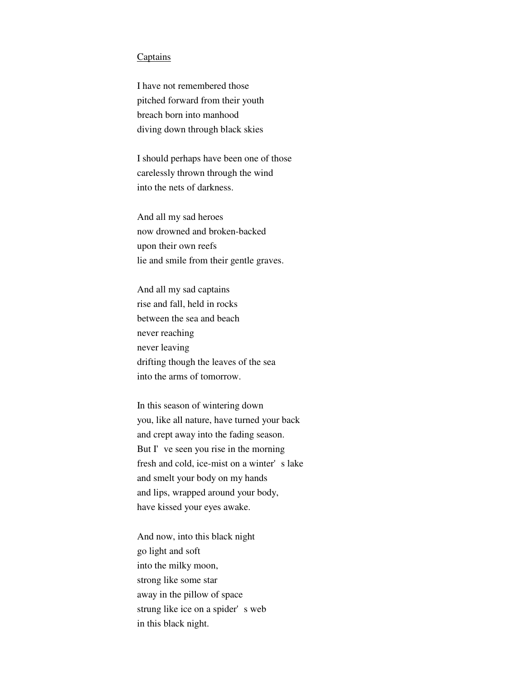#### Captains

I have not remembered those pitched forward from their youth breach born into manhood diving down through black skies

I should perhaps have been one of those carelessly thrown through the wind into the nets of darkness.

And all my sad heroes now drowned and broken-backed upon their own reefs lie and smile from their gentle graves.

And all my sad captains rise and fall, held in rocks between the sea and beach never reaching never leaving drifting though the leaves of the sea into the arms of tomorrow.

In this season of wintering down you, like all nature, have turned your back and crept away into the fading season. But I've seen you rise in the morning fresh and cold, ice-mist on a winter's lake and smelt your body on my hands and lips, wrapped around your body, have kissed your eyes awake.

And now, into this black night go light and soft into the milky moon, strong like some star away in the pillow of space strung like ice on a spider's web in this black night.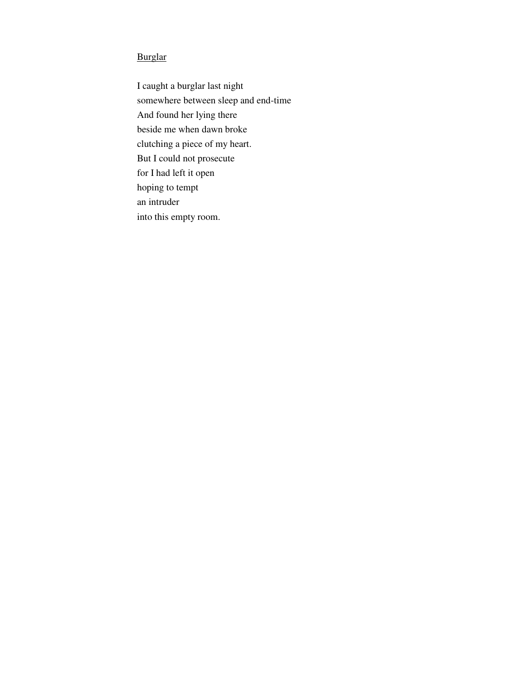## Burglar

I caught a burglar last night somewhere between sleep and end-time And found her lying there beside me when dawn broke clutching a piece of my heart. But I could not prosecute for I had left it open hoping to tempt an intruder into this empty room.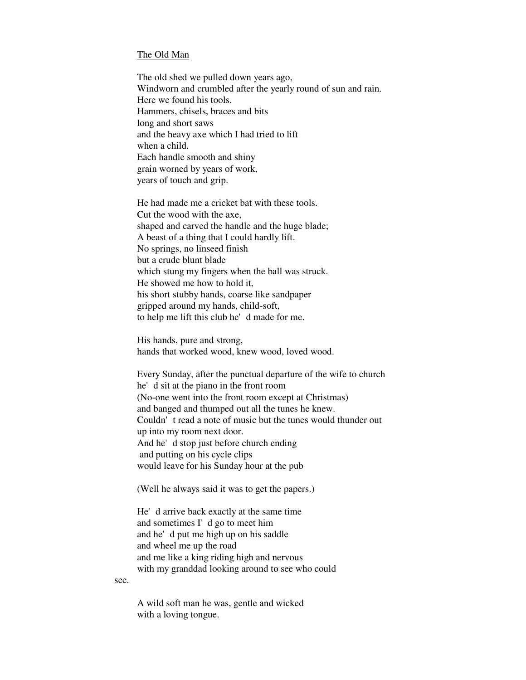#### The Old Man

The old shed we pulled down years ago, Windworn and crumbled after the yearly round of sun and rain. Here we found his tools. Hammers, chisels, braces and bits long and short saws and the heavy axe which I had tried to lift when a child. Each handle smooth and shiny grain worned by years of work, years of touch and grip.

He had made me a cricket bat with these tools. Cut the wood with the axe, shaped and carved the handle and the huge blade; A beast of a thing that I could hardly lift. No springs, no linseed finish but a crude blunt blade which stung my fingers when the ball was struck. He showed me how to hold it, his short stubby hands, coarse like sandpaper gripped around my hands, child-soft, to help me lift this club he'd made for me.

His hands, pure and strong, hands that worked wood, knew wood, loved wood.

Every Sunday, after the punctual departure of the wife to church he'd sit at the piano in the front room (No-one went into the front room except at Christmas) and banged and thumped out all the tunes he knew. Couldn't read a note of music but the tunes would thunder out up into my room next door. And he'd stop just before church ending and putting on his cycle clips would leave for his Sunday hour at the pub

(Well he always said it was to get the papers.)

He'd arrive back exactly at the same time and sometimes I'd go to meet him and he'd put me high up on his saddle and wheel me up the road and me like a king riding high and nervous with my granddad looking around to see who could

see.

A wild soft man he was, gentle and wicked with a loving tongue.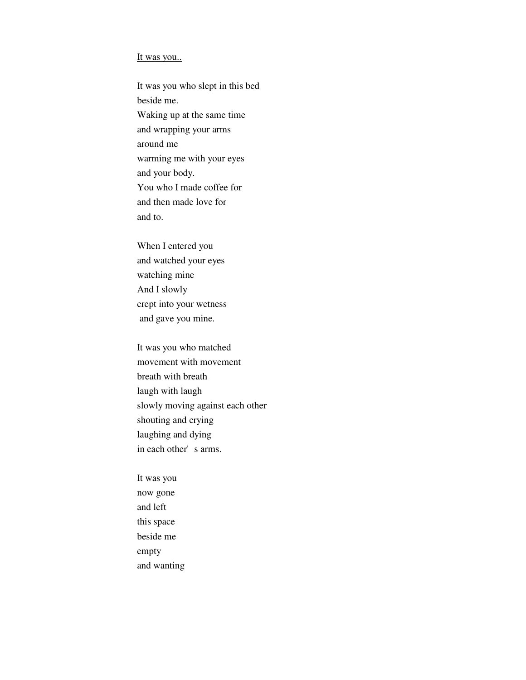#### It was you...

It was you who slept in this bed beside me. Waking up at the same time and wrapping your arms around me warming me with your eyes and your body. You who I made coffee for and then made love for and to.

When I entered you and watched your eyes watching mine And I slowly crept into your wetness and gave you mine.

It was you who matched movement with movement breath with breath laugh with laugh slowly moving against each other shouting and crying laughing and dying in each other's arms.

It was you now gone and left this space beside me empty and wanting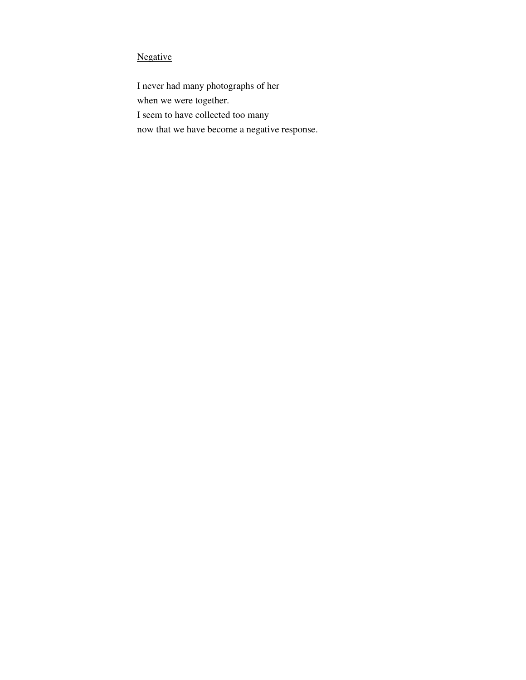## Negative

I never had many photographs of her when we were together. I seem to have collected too many now that we have become a negative response.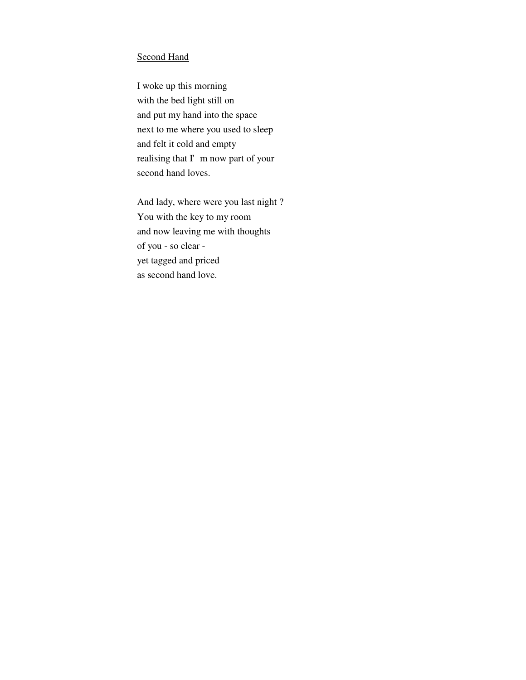#### Second Hand

I woke up this morning with the bed light still on and put my hand into the space next to me where you used to sleep and felt it cold and empty realising that I'm now part of your second hand loves.

And lady, where were you last night ? You with the key to my room and now leaving me with thoughts of you - so clear yet tagged and priced as second hand love.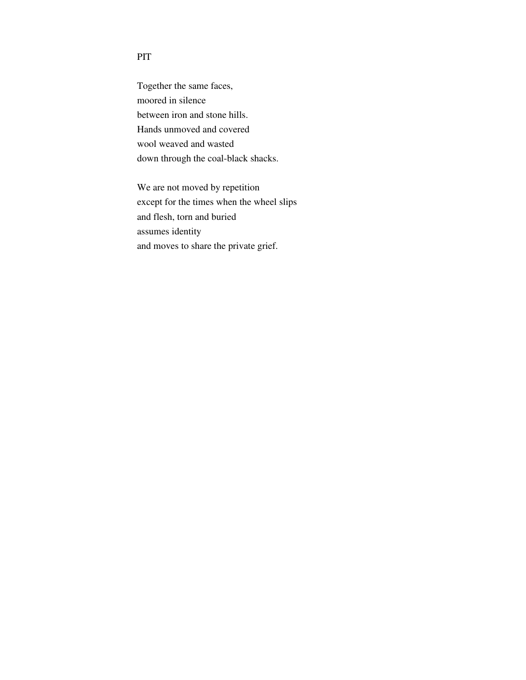## PIT

Together the same faces, moored in silence between iron and stone hills. Hands unmoved and covered wool weaved and wasted down through the coal-black shacks.

We are not moved by repetition except for the times when the wheel slips and flesh, torn and buried assumes identity and moves to share the private grief.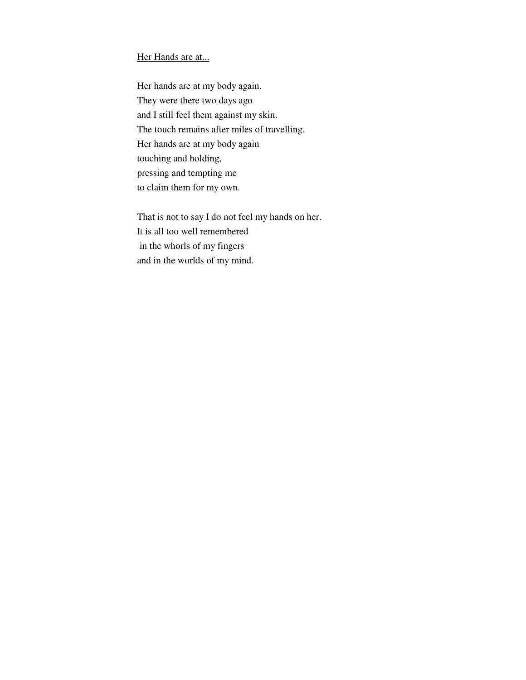### Her Hands are at...

Her hands are at my body again. They were there two days ago and I still feel them against my skin. The touch remains after miles of travelling. Her hands are at my body again touching and holding, pressing and tempting me to claim them for my own.

That is not to say I do not feel my hands on her. It is all too well remembered in the whorls of my fingers and in the worlds of my mind.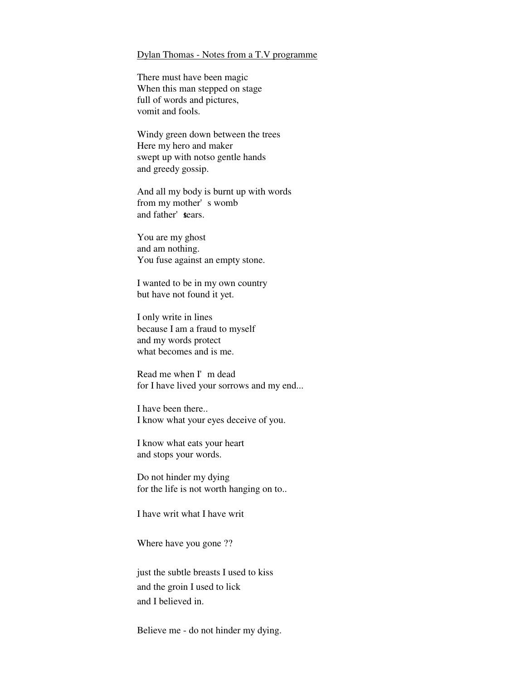#### Dylan Thomas - Notes from a T.V programme

There must have been magic When this man stepped on stage full of words and pictures, vomit and fools.

Windy green down between the trees Here my hero and maker swept up with notso gentle hands and greedy gossip.

And all my body is burnt up with words from my mother's womb and father' sears.

You are my ghost and am nothing. You fuse against an empty stone.

I wanted to be in my own country but have not found it yet.

I only write in lines because I am a fraud to myself and my words protect what becomes and is me.

Read me when I'm dead for I have lived your sorrows and my end...

I have been there.. I know what your eyes deceive of you.

I know what eats your heart and stops your words.

Do not hinder my dying for the life is not worth hanging on to..

I have writ what I have writ

Where have you gone ??

just the subtle breasts I used to kiss and the groin I used to lick and I believed in.

Believe me - do not hinder my dying.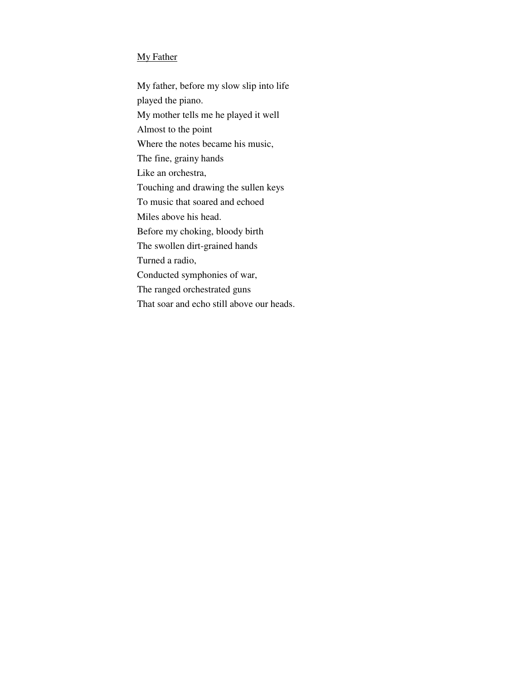## My Father

My father, before my slow slip into life played the piano. My mother tells me he played it well Almost to the point Where the notes became his music, The fine, grainy hands Like an orchestra, Touching and drawing the sullen keys To music that soared and echoed Miles above his head. Before my choking, bloody birth The swollen dirt-grained hands Turned a radio, Conducted symphonies of war, The ranged orchestrated guns

That soar and echo still above our heads.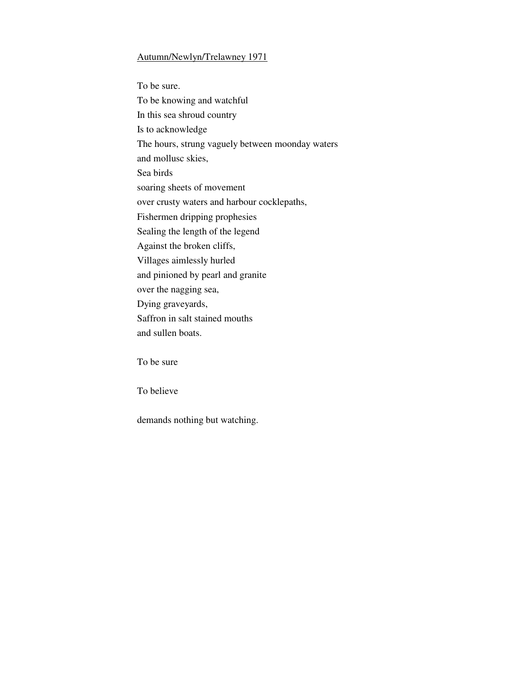#### Autumn/Newlyn/Trelawney 1971

To be sure. To be knowing and watchful In this sea shroud country Is to acknowledge The hours, strung vaguely between moonday waters and mollusc skies, Sea birds soaring sheets of movement over crusty waters and harbour cocklepaths, Fishermen dripping prophesies Sealing the length of the legend Against the broken cliffs, Villages aimlessly hurled and pinioned by pearl and granite over the nagging sea, Dying graveyards, Saffron in salt stained mouths and sullen boats.

To be sure

To believe

demands nothing but watching.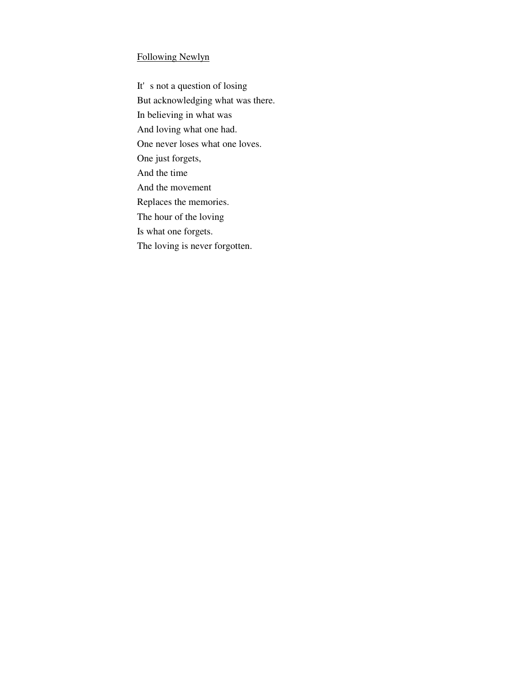#### Following Newlyn

It's not a question of losing But acknowledging what was there. In believing in what was And loving what one had. One never loses what one loves. One just forgets, And the time And the movement Replaces the memories. The hour of the loving Is what one forgets. The loving is never forgotten.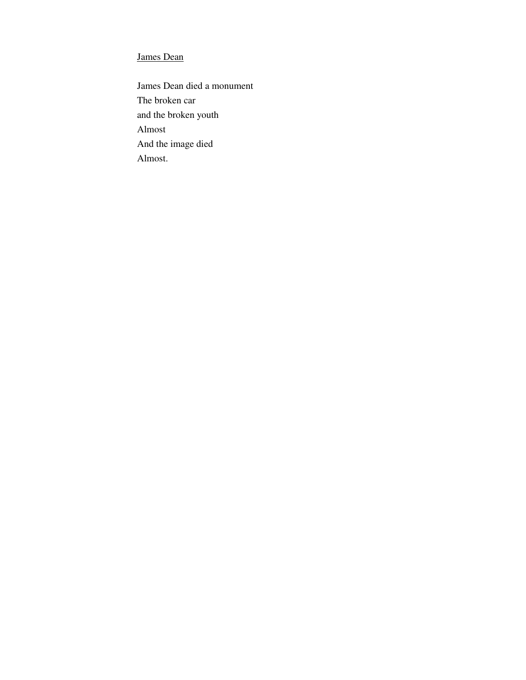## James Dean

James Dean died a monument The broken car and the broken youth Almost And the image died Almost.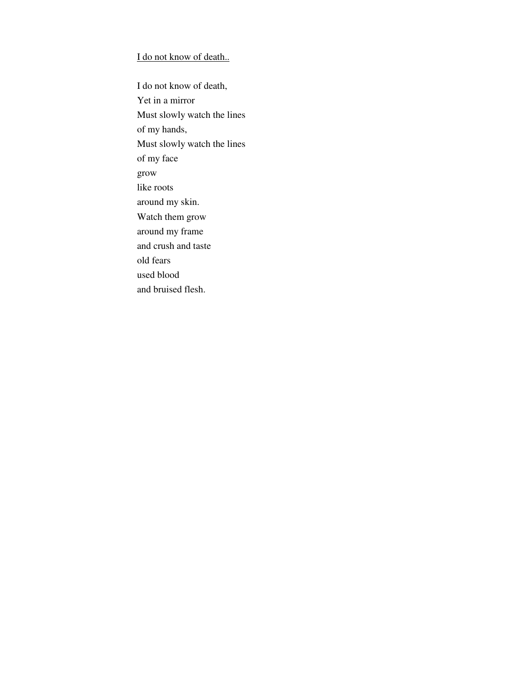## I do not know of death..

I do not know of death, Yet in a mirror Must slowly watch the lines of my hands, Must slowly watch the lines of my face grow like roots around my skin. Watch them grow around my frame and crush and taste old fears used blood and bruised flesh.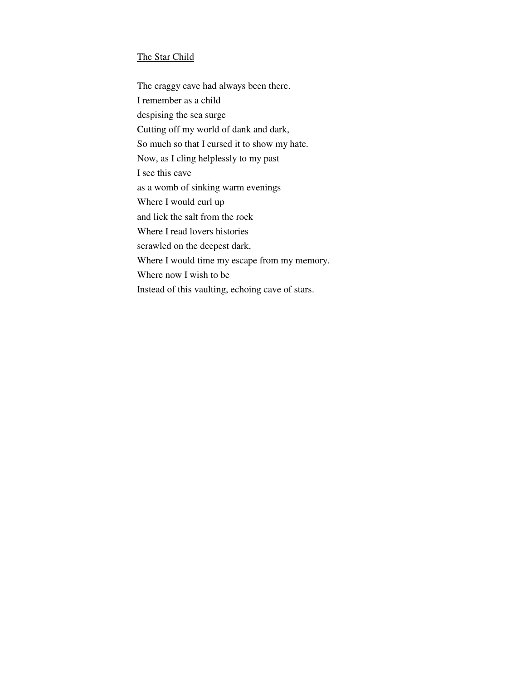### The Star Child

The craggy cave had always been there. I remember as a child despising the sea surge Cutting off my world of dank and dark, So much so that I cursed it to show my hate. Now, as I cling helplessly to my past I see this cave as a womb of sinking warm evenings Where I would curl up and lick the salt from the rock Where I read lovers histories scrawled on the deepest dark, Where I would time my escape from my memory. Where now I wish to be Instead of this vaulting, echoing cave of stars.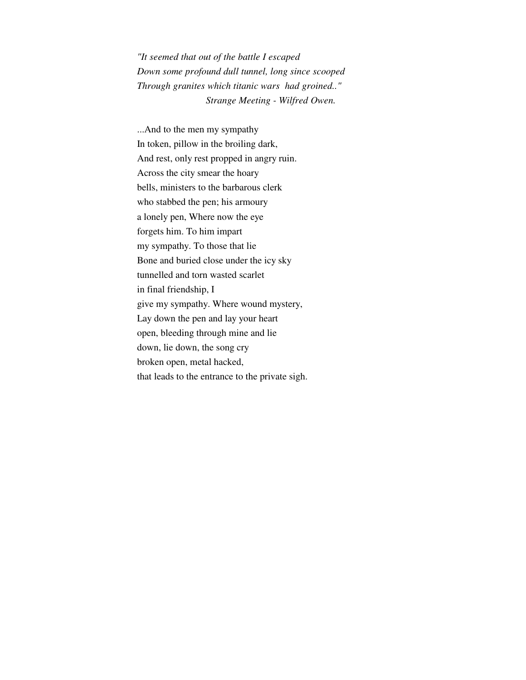*"It seemed that out of the battle I escaped Down some profound dull tunnel, long since scooped Through granites which titanic wars had groined.." Strange Meeting - Wilfred Owen.*

...And to the men my sympathy In token, pillow in the broiling dark, And rest, only rest propped in angry ruin. Across the city smear the hoary bells, ministers to the barbarous clerk who stabbed the pen; his armoury a lonely pen, Where now the eye forgets him. To him impart my sympathy. To those that lie Bone and buried close under the icy sky tunnelled and torn wasted scarlet in final friendship, I give my sympathy. Where wound mystery, Lay down the pen and lay your heart open, bleeding through mine and lie down, lie down, the song cry broken open, metal hacked, that leads to the entrance to the private sigh.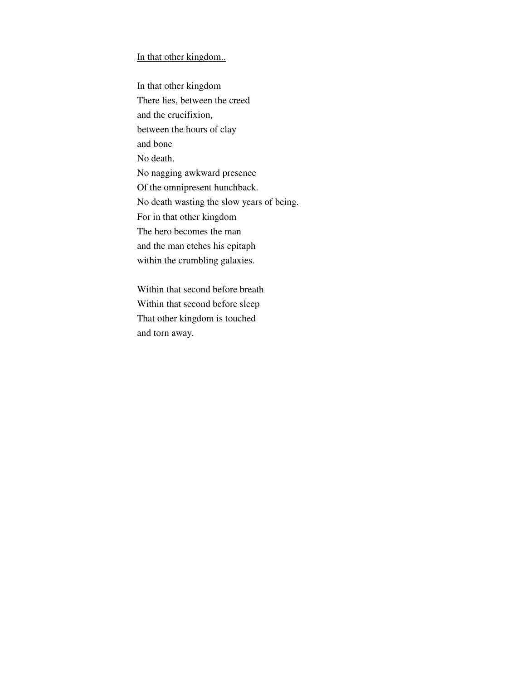#### In that other kingdom..

In that other kingdom There lies, between the creed and the crucifixion, between the hours of clay and bone No death. No nagging awkward presence Of the omnipresent hunchback. No death wasting the slow years of being. For in that other kingdom The hero becomes the man and the man etches his epitaph within the crumbling galaxies.

Within that second before breath Within that second before sleep That other kingdom is touched and torn away.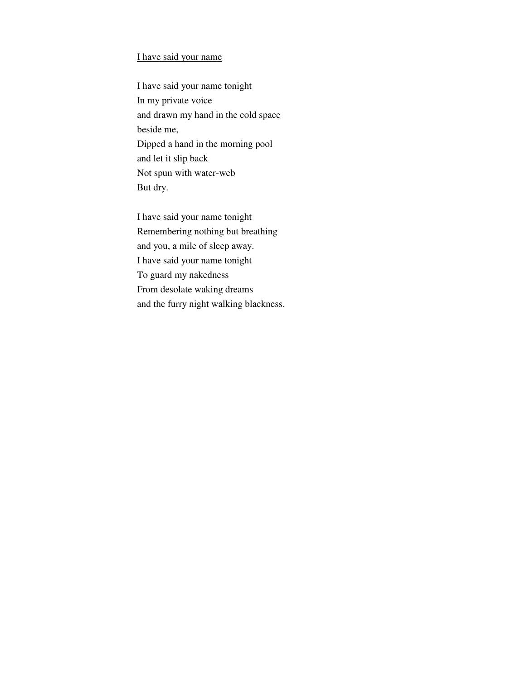#### I have said your name

I have said your name tonight In my private voice and drawn my hand in the cold space beside me, Dipped a hand in the morning pool and let it slip back Not spun with water-web But dry.

I have said your name tonight Remembering nothing but breathing and you, a mile of sleep away. I have said your name tonight To guard my nakedness From desolate waking dreams and the furry night walking blackness.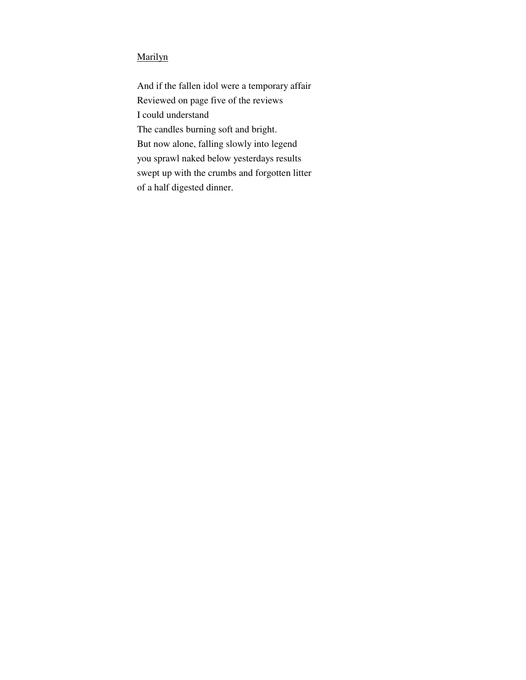## Marilyn

And if the fallen idol were a temporary affair Reviewed on page five of the reviews I could understand The candles burning soft and bright. But now alone, falling slowly into legend you sprawl naked below yesterdays results swept up with the crumbs and forgotten litter of a half digested dinner.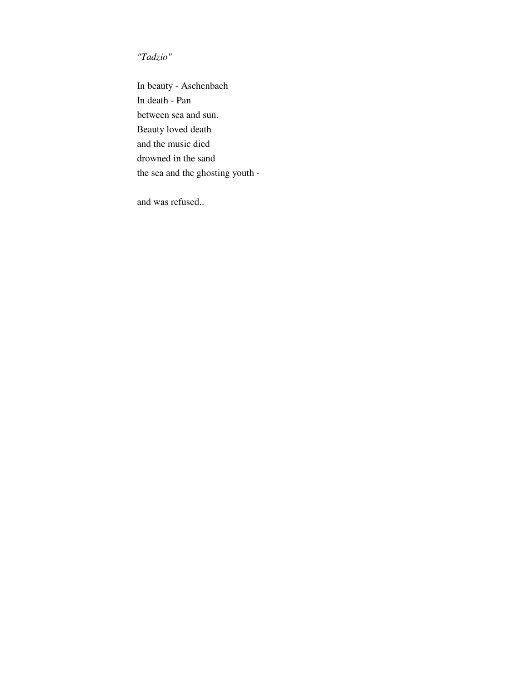*"Tadzio"*

In beauty - Aschenbach In death - Pan between sea and sun. Beauty loved death and the music died drowned in the sand the sea and the ghosting youth -

and was refused..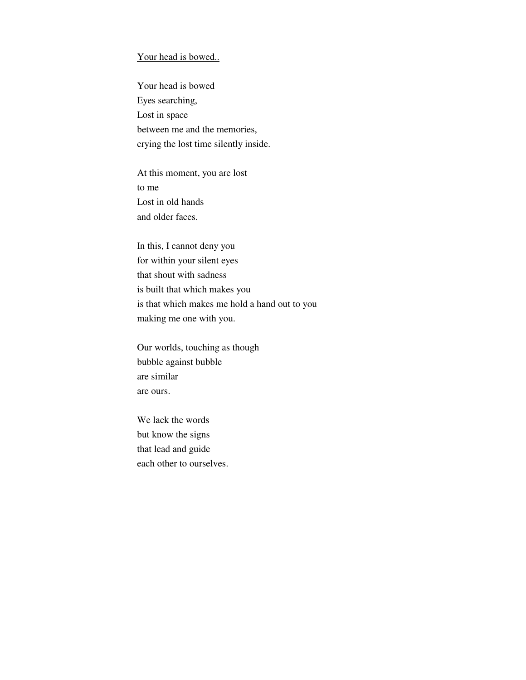#### Your head is bowed..

Your head is bowed Eyes searching, Lost in space between me and the memories, crying the lost time silently inside.

At this moment, you are lost to me Lost in old hands and older faces.

In this, I cannot deny you for within your silent eyes that shout with sadness is built that which makes you is that which makes me hold a hand out to you making me one with you.

Our worlds, touching as though bubble against bubble are similar are ours.

We lack the words but know the signs that lead and guide each other to ourselves.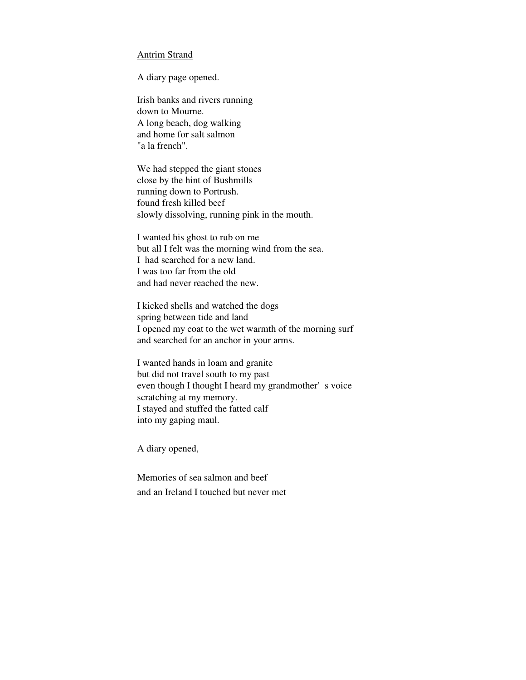#### Antrim Strand

A diary page opened.

Irish banks and rivers running down to Mourne. A long beach, dog walking and home for salt salmon "a la french".

We had stepped the giant stones close by the hint of Bushmills running down to Portrush. found fresh killed beef slowly dissolving, running pink in the mouth.

I wanted his ghost to rub on me but all I felt was the morning wind from the sea. I had searched for a new land. I was too far from the old and had never reached the new.

I kicked shells and watched the dogs spring between tide and land I opened my coat to the wet warmth of the morning surf and searched for an anchor in your arms.

I wanted hands in loam and granite but did not travel south to my past even though I thought I heard my grandmother's voice scratching at my memory. I stayed and stuffed the fatted calf into my gaping maul.

A diary opened,

Memories of sea salmon and beef and an Ireland I touched but never met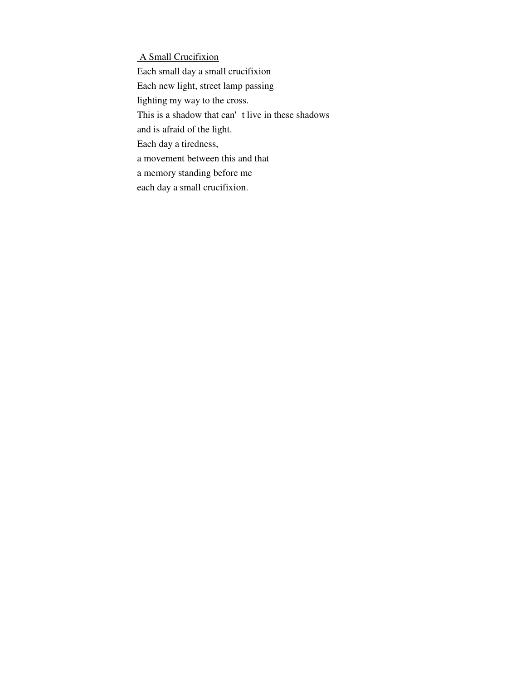A Small Crucifixion

Each small day a small crucifixion Each new light, street lamp passing lighting my way to the cross. This is a shadow that can't live in these shadows and is afraid of the light. Each day a tiredness, a movement between this and that a memory standing before me

each day a small crucifixion.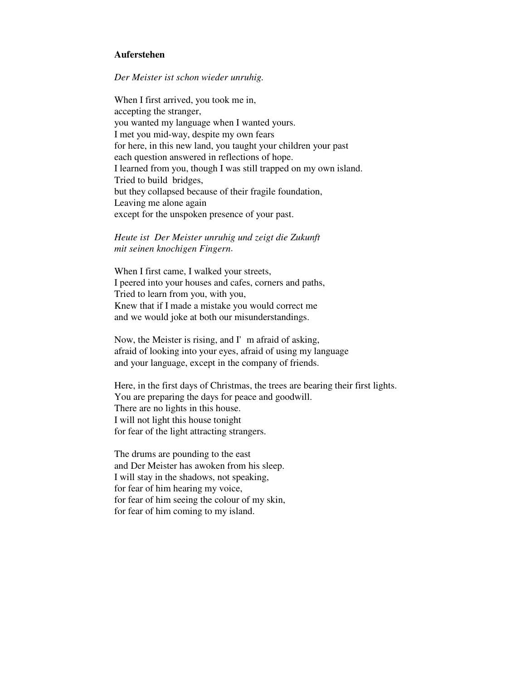#### **Auferstehen**

#### *Der Meister ist schon wieder unruhig.*

When I first arrived, you took me in, accepting the stranger, you wanted my language when I wanted yours. I met you mid-way, despite my own fears for here, in this new land, you taught your children your past each question answered in reflections of hope. I learned from you, though I was still trapped on my own island. Tried to build bridges, but they collapsed because of their fragile foundation, Leaving me alone again except for the unspoken presence of your past.

## *Heute ist Der Meister unruhig und zeigt die Zukunft mit seinen knochigen Fingern*.

When I first came, I walked your streets, I peered into your houses and cafes, corners and paths, Tried to learn from you, with you, Knew that if I made a mistake you would correct me and we would joke at both our misunderstandings.

Now, the Meister is rising, and  $\Gamma$  m afraid of asking, afraid of looking into your eyes, afraid of using my language and your language, except in the company of friends.

Here, in the first days of Christmas, the trees are bearing their first lights. You are preparing the days for peace and goodwill. There are no lights in this house. I will not light this house tonight for fear of the light attracting strangers.

The drums are pounding to the east and Der Meister has awoken from his sleep. I will stay in the shadows, not speaking, for fear of him hearing my voice, for fear of him seeing the colour of my skin, for fear of him coming to my island.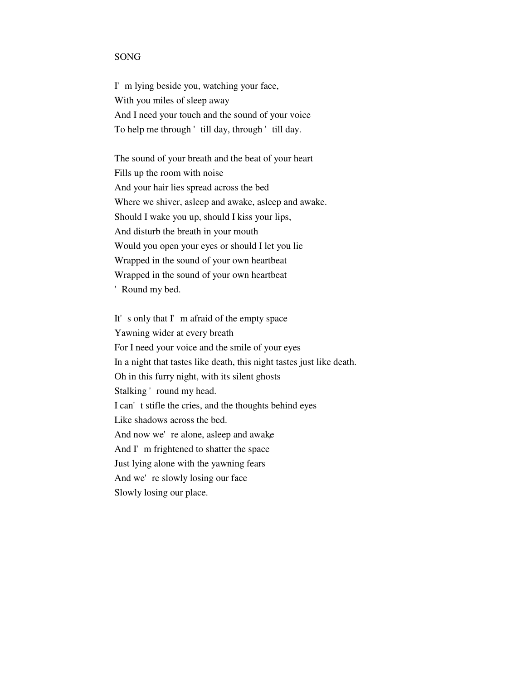#### SONG

I'm lying beside you, watching your face, With you miles of sleep away And I need your touch and the sound of your voice To help me through 'till day, through 'till day.

The sound of your breath and the beat of your heart Fills up the room with noise And your hair lies spread across the bed Where we shiver, asleep and awake, asleep and awake. Should I wake you up, should I kiss your lips, And disturb the breath in your mouth Would you open your eyes or should I let you lie Wrapped in the sound of your own heartbeat Wrapped in the sound of your own heartbeat 'Round my bed.

It's only that I'm afraid of the empty space Yawning wider at every breath For I need your voice and the smile of your eyes In a night that tastes like death, this night tastes just like death. Oh in this furry night, with its silent ghosts Stalking 'round my head. I can't stifle the cries, and the thoughts behind eyes Like shadows across the bed. And now we're alone, asleep and awake And I'm frightened to shatter the space Just lying alone with the yawning fears And we're slowly losing our face Slowly losing our place.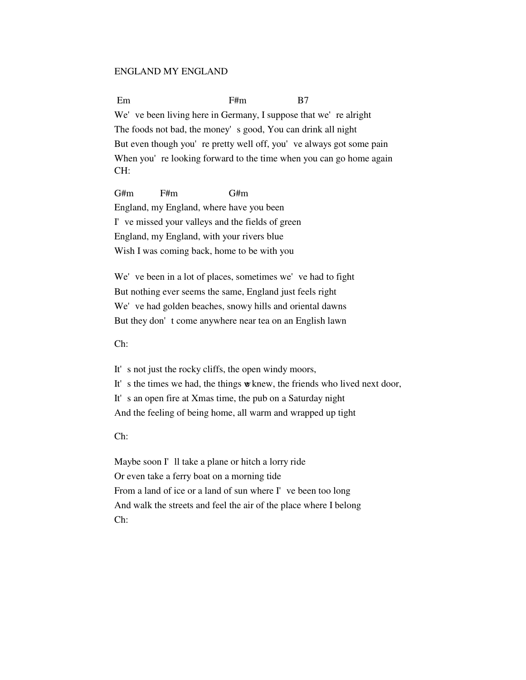#### ENGLAND MY ENGLAND

Em B7 We've been living here in Germany, I suppose that we're alright The foods not bad, the money's good, You can drink all night But even though you're pretty well off, you've always got some pain When you're looking forward to the time when you can go home again CH:

G#m F#m G#m England, my England, where have you been I've missed your valleys and the fields of green England, my England, with your rivers blue Wish I was coming back, home to be with you

We've been in a lot of places, sometimes we've had to fight But nothing ever seems the same, England just feels right We've had golden beaches, snowy hills and oriental dawns But they don't come anywhere near tea on an English lawn

Ch:

It's not just the rocky cliffs, the open windy moors, It's the times we had, the things we knew, the friends who lived next door, It's an open fire at Xmas time, the pub on a Saturday night And the feeling of being home, all warm and wrapped up tight

Ch:

Maybe soon I'll take a plane or hitch a lorry ride Or even take a ferry boat on a morning tide From a land of ice or a land of sun where I've been too long And walk the streets and feel the air of the place where I belong Ch: